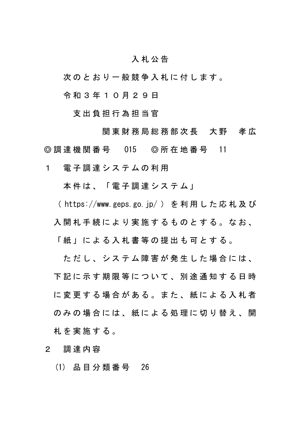## 入 札 公 告

次 の と お り 一 般 競 争 入 札 に 付 し ま す 。

令 和 3 年 1 0 月 2 9 日

支出負担行為担当官

関 東 財 務 局 総 務 部 次 長 大 野 孝 広 ◎調達機関番号 O15 ◎所在地番号 11

1 電子調達システムの利用

本件は、「電子調達システム」

( https://www.geps.go.jp/ )を利用した応札及び

入開 札 手 続 に よ り 実 施 す る も の と す る 。 な お 、

「 紙 」 に よ る 入 札 書 等 の 提 出 も 可 と す る 。

ただし、システム障害が発生した場合には、 下 記 に 示 す 期 限 等 に つ い て 、 別 途 通 知 す る 日 時 に 変 更 す る 場 合 が あ る 。 ま た 、 紙 に よ る 入 札 者 のみの場合には、紙による処理に切り替え、開 札 を 実 施 す る 。

2 調達内容

(1) 品 目 分 類 番 号 26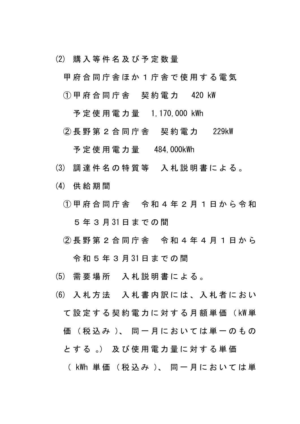- (2) 購 入 等 件 名 及 び 予 定 数 量
	- 甲府合同庁舎ほか1庁舎で使用する電気
	- ①甲府合同庁舎 契約電力 420 kW
		- 予 定 使 用 電 力 量 1,170,000 kWh
	- ② 長 野 第 2 合 同 庁 舎 契約電力 229kW

予定使用電力量 484,000kWh

- (3) 調 達 件 名 の 特 質 等 入札説明書による 。
- (4) 供給期間
	- ① 甲 府 合 同 庁 舎 令 和 4 年 2 月 1 日から令和 5 年 3 月 31 日までの間
	- ② 長 野 第 2 合 同 庁 舎 令 和 4 年4月1日から 令和5年3月 31 日までの間
- (5) 需 要 場 所 入札説明書による 。
- (6) 入札方法 入札書内訳には、入札者におい て設定する契約電力に対する月額単価( kW 単 価 (税込み)、同一月においては単一のもの と す る 。) 及 び 使 用 電 力 量 に 対 す る 単 価 ( kWh 単 価 ( 税 込 み )、 同 一 月 に お い て は 単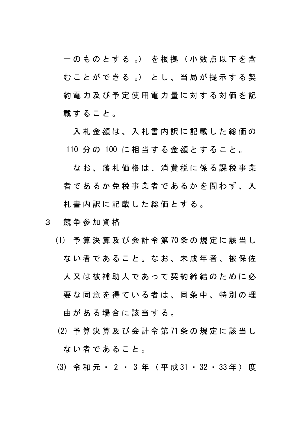一 の も の と す る 。) を 根 拠 ( 小 数 点 以 下 を 含 む こ と が で き る 。) と し 、 当 局 が 提 示 す る 契 約電力及び予定使用電力量に対する対価 を 記 載すること。

入札金額は、入札書内訳に記載した総価の 110 分 の 100 に相当する金額とすること。

なお、落札価格は、消費税に係る課税事業 者であるか免税事業者であるかを問わず、入 札書内訳に記載した総価とする。

- 3 競争参加資格
	- (1) 予算決算及び会計令第 70 条の規定に該当し ない者であること。なお、未成年者、被保佐 人 又 は被補助人であって 契約締結のために必 要な同意を得ている者は、同条中、特別の理 由がある場合に該当する。
		- (2) 予算決算及び会計令第 71 条の規定に該当し ない者であること。
	- (3) 令和元・ 2 ・ 3 年(平成 31 ・ 32 ・ 33 年)度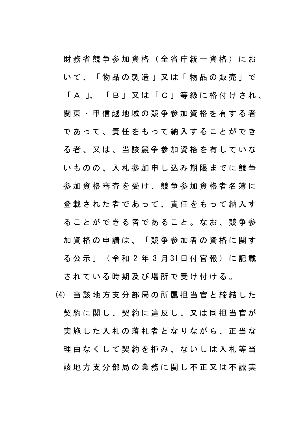財務省競争参加資格(全省庁統一資格)にお いて、「物品の製造 」 又は 「 物品の販売」で 「 A 」、 「B」 又は「C」 等級に格付けされ、 関 東 ・ 甲 信 越 地 域 の 競 争 参 加 資 格 を 有 す る 者 であって、責任をもって納入することができ る者、又は、当該競争参加資格を有していな いものの、入札参加申し込み期限までに競争 参加資格審査を受け、競争参加資格者名簿に 登載された者であって、責任をもって納入す ることができる者であること。なお、競争参 加資格の申請は、「競争参加者の資格に関す る公示」(令和 2 年 3 月 31 日付官報)に記載

されている時期及び場所で受け付ける。

(4) 当該地方支分部局の所属担当官と締結した 契約に関し、契約に違反し、又は同担当官が 実施した入札の落札者となりながら、正当な 理由なくして契約を拒み、ないしは入札等当 該地方支分部局の業務に関し不正又は不誠実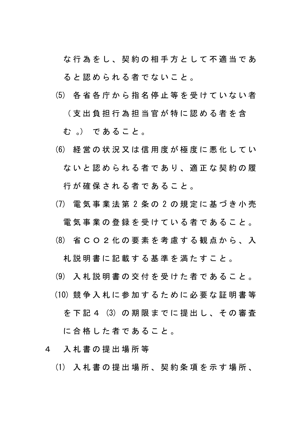な行為をし、契約の相手方として不適当であ ると認められる者でないこと。

(5) 各省各庁から指名停止等を受けていない者

(支出負担行為担当官が特に認める者を含

む 。) であること。

- (6) 経営の状況又は信用度が極度に悪化してい ないと認められる者であり、適正な契約の履 行が確保される者であること。
- (7) 電気事業法第 2 条 の 2 の規定に基づき小売

電気事業の登録を受けている者であること。

(8) 省CO2化の要 素を考慮する観点から、入

札説明書に記載する基準を満たすこと。

- (9) 入 札 説 明 書 の 交 付 を 受 け た 者 で あ る こ と 。
- (10) 競争入札に参加するために必要な証明書等
	- を下記 4 (3) の期限までに提出し、その審査

に合格した者であること。

- 4 入札書の提出場所等
	- (1) 入札書の提出場所、契約条項を示す場所、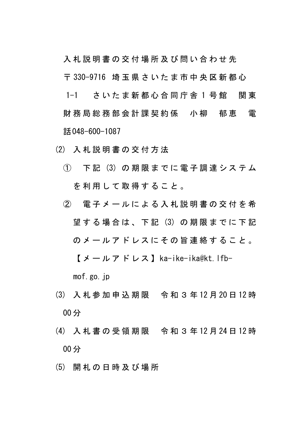入札説明書の交付場所及び問い合わせ先

〒 330-9716 埼玉県さいたま市中央区新都心

1-1 さいたま新都心合同庁舎1号館 関東 財 務 局 総 務 部 会 計 課 契 約 係 小 柳 郁 恵 電 話048-600-1087

- (2) 入札説明書の交付方法
	- ① 下 記 (3) の 期 限 ま で に 電 子 調 達 シ ス テ ム を利用して取得すること。
	- ② 電子メールによる入札説明書の交付を希 望する場合は、 下 記 (3) の期限までに下記 のメールアドレスにその旨連絡すること。 【メールアドレス】ka-ike-ika@kt.lfb-

mof.go.jp

- (3) 入 札 参 加 申込期限 令和3 年 12 月 20 日 12 時 00 分
- (4) 入札書の受領期限 令和3 年 12 月 24 日 12 時 00 分
- (5) 開 札 の 日 時 及 び 場 所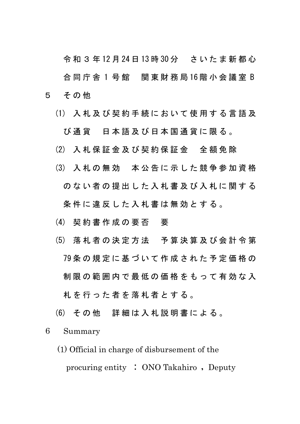令和3 年 12 月 24 日 13 時 30 分 さいたま新都心 合同庁舎 1 号 館 関東財務局 16 階小会議室 B 5 その他

- (1) 入札及び契約手続において使用する言語及 び通貨 日本語及び日本国通貨に限る。
- (2) 入 札 保 証 金 及 び 契 約 保 証 金 全額免除
- (3) 入札の無効 本公告に示した競争参加資格 のない者の提出した入札書及び入札に関する 条件に違反した入札書は無効とする。
- (4) 契 約 書 作 成 の 要 否 要
- (5) 落札者の決定方法 予算決算及び会計令第 79 条の規定に基づいて作成された予定価格の 制限の範囲内で最低の価格をもって有効な入 札を行った者を落札者とする。
- (6) そ の 他 詳細は入札説明書による。

## 6 Summary

(1) Official in charge of disbursement of the procuring entity : ONO Takahiro , Deputy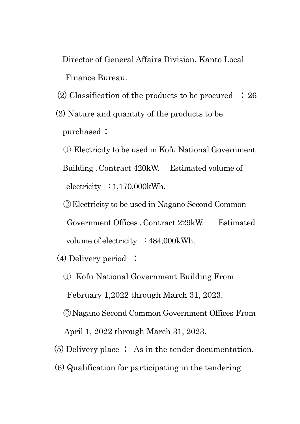Director of General Affairs Division, Kanto Local Finance Bureau.

- (2) Classification of the products to be procured : 26
- (3) Nature and quantity of the products to be purchased :
	- ① Electricity to be used in Kofu National Government

Building . Contract 420kW. Estimated volume of electricity : 1,170,000kWh.

②Electricity to be used in Nagano Second Common Government Offices . Contract 229kW. Estimated volume of electricity : 484,000kWh.

(4) Delivery period :

① Kofu National Government Building From

February 1,2022 through March 31, 2023.

②Nagano Second Common Government Offices From

April 1, 2022 through March 31, 2023.

- (5) Delivery place : As in the tender documentation.
- (6) Qualification for participating in the tendering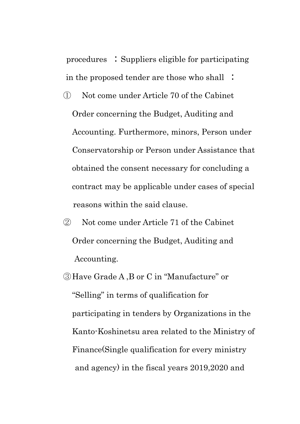procedures : Suppliers eligible for participating in the proposed tender are those who shall :

- ① Not come under Article 70 of the Cabinet Order concerning the Budget, Auditing and Accounting. Furthermore, minors, Person under Conservatorship or Person under Assistance that obtained the consent necessary for concluding a contract may be applicable under cases of special reasons within the said clause.
- ② Not come under Article 71 of the Cabinet Order concerning the Budget, Auditing and Accounting.
- ③Have Grade A ,B or C in "Manufacture" or "Selling" in terms of qualification for participating in tenders by Organizations in the Kanto-Koshinetsu area related to the Ministry of Finance(Single qualification for every ministry and agency) in the fiscal years 2019,2020 and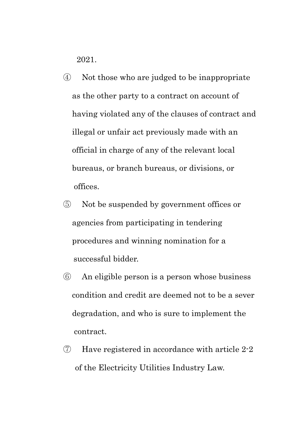2021.

- ④ Not those who are judged to be inappropriate as the other party to a contract on account of having violated any of the clauses of contract and illegal or unfair act previously made with an official in charge of any of the relevant local bureaus, or branch bureaus, or divisions, or offices.
- ⑤ Not be suspended by government offices or agencies from participating in tendering procedures and winning nomination for a successful bidder.
- ⑥ An eligible person is a person whose business condition and credit are deemed not to be a sever degradation, and who is sure to implement the contract.
- ⑦ Have registered in accordance with article 2-2 of the Electricity Utilities Industry Law.